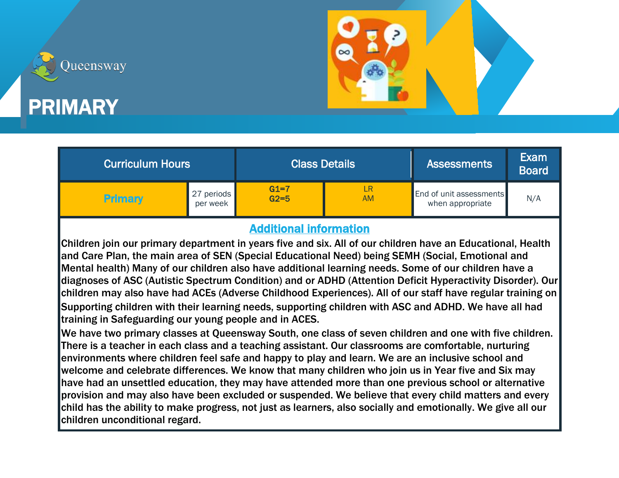

## PRIMARY

Queensway

| <b>Curriculum Hours</b> |                        |                    | <b>Class Details</b> | <b>Assessments</b>                                 | Exam<br><b>Board</b> |
|-------------------------|------------------------|--------------------|----------------------|----------------------------------------------------|----------------------|
| <b>Primary</b>          | 27 periods<br>per week | $G1=7$<br>$G2 = 5$ | LR<br><b>AM</b>      | <b>End of unit assessments</b><br>when appropriate | N/A                  |

## Additional information

Children join our primary department in years five and six. All of our children have an Educational, Health and Care Plan, the main area of SEN (Special Educational Need) being SEMH (Social, Emotional and Mental health) Many of our children also have additional learning needs. Some of our children have a diagnoses of ASC (Autistic Spectrum Condition) and or ADHD (Attention Deficit Hyperactivity Disorder). Our children may also have had ACEs (Adverse Childhood Experiences). All of our staff have regular training on Supporting children with their learning needs, supporting children with ASC and ADHD. We have all had training in Safeguarding our young people and in ACES.

We have two primary classes at Queensway South, one class of seven children and one with five children. There is a teacher in each class and a teaching assistant. Our classrooms are comfortable, nurturing environments where children feel safe and happy to play and learn. We are an inclusive school and welcome and celebrate differences. We know that many children who join us in Year five and Six may have had an unsettled education, they may have attended more than one previous school or alternative provision and may also have been excluded or suspended. We believe that every child matters and every child has the ability to make progress, not just as learners, also socially and emotionally. We give all our children unconditional regard.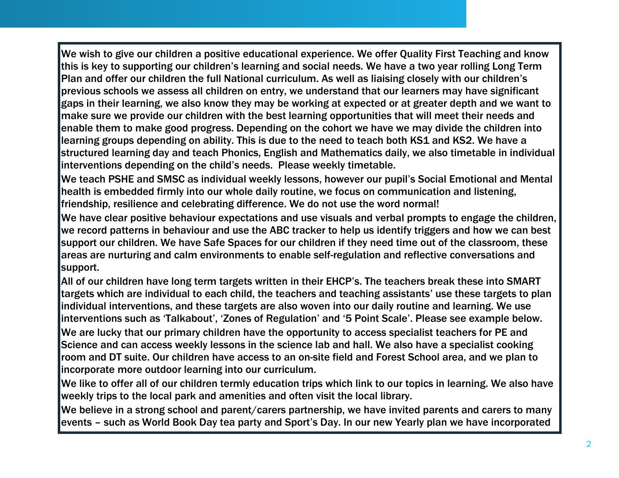We wish to give our children a positive educational experience. We offer Quality First Teaching and know this is key to supporting our children's learning and social needs. We have a two year rolling Long Term Plan and offer our children the full National curriculum. As well as liaising closely with our children's previous schools we assess all children on entry, we understand that our learners may have significant gaps in their learning, we also know they may be working at expected or at greater depth and we want to make sure we provide our children with the best learning opportunities that will meet their needs and enable them to make good progress. Depending on the cohort we have we may divide the children into learning groups depending on ability. This is due to the need to teach both KS1 and KS2. We have a structured learning day and teach Phonics, English and Mathematics daily, we also timetable in individual interventions depending on the child's needs. Please weekly timetable.

We teach PSHE and SMSC as individual weekly lessons, however our pupil's Social Emotional and Mental health is embedded firmly into our whole daily routine, we focus on communication and listening, friendship, resilience and celebrating difference. We do not use the word normal!

We have clear positive behaviour expectations and use visuals and verbal prompts to engage the children, we record patterns in behaviour and use the ABC tracker to help us identify triggers and how we can best support our children. We have Safe Spaces for our children if they need time out of the classroom, these areas are nurturing and calm environments to enable self-regulation and reflective conversations and support.

All of our children have long term targets written in their EHCP's. The teachers break these into SMART targets which are individual to each child, the teachers and teaching assistants' use these targets to plan individual interventions, and these targets are also woven into our daily routine and learning. We use interventions such as 'Talkabout', 'Zones of Regulation' and '5 Point Scale'. Please see example below.

We are lucky that our primary children have the opportunity to access specialist teachers for PE and Science and can access weekly lessons in the science lab and hall. We also have a specialist cooking room and DT suite. Our children have access to an on-site field and Forest School area, and we plan to incorporate more outdoor learning into our curriculum.

We like to offer all of our children termly education trips which link to our topics in learning. We also have weekly trips to the local park and amenities and often visit the local library.

We believe in a strong school and parent/carers partnership, we have invited parents and carers to many events – such as World Book Day tea party and Sport's Day. In our new Yearly plan we have incorporated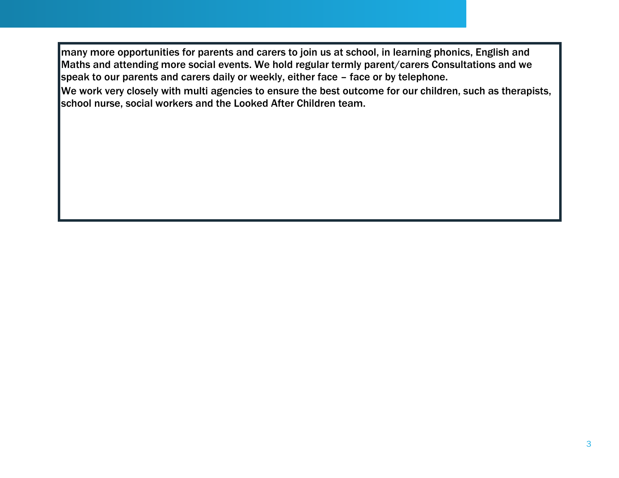many more opportunities for parents and carers to join us at school, in learning phonics, English and Maths and attending more social events. We hold regular termly parent/carers Consultations and we speak to our parents and carers daily or weekly, either face – face or by telephone.

We work very closely with multi agencies to ensure the best outcome for our children, such as therapists, school nurse, social workers and the Looked After Children team.